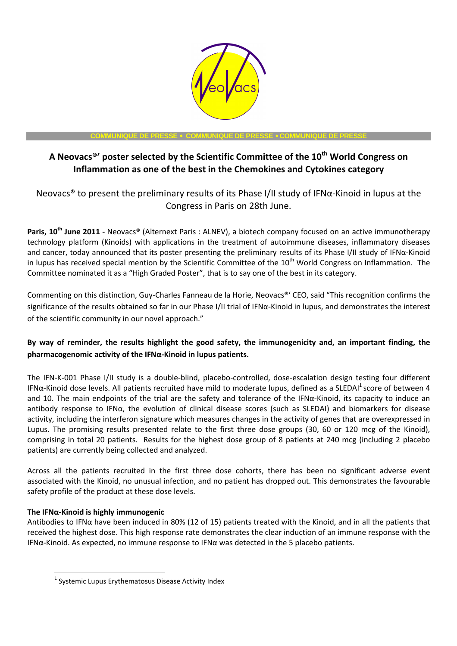

### **COMMUNIQUE DE PRESSE** • **COMMUNIQUE DE PRESSE** • **COMMUNIQUE DE PRESSE**

# **A Neovacs®' poster selected by the Scientific Committee of the 10th World Congress on Inflammation as one of the best in the Chemokines and Cytokines category**

Neovacs® to present the preliminary results of its Phase I/II study of IFNα-Kinoid in lupus at the Congress in Paris on 28th June.

**Paris, 10th June 2011 -** Neovacs® (Alternext Paris : ALNEV), a biotech company focused on an active immunotherapy technology platform (Kinoids) with applications in the treatment of autoimmune diseases, inflammatory diseases and cancer, today announced that its poster presenting the preliminary results of its Phase I/II study of IFNα-Kinoid in lupus has received special mention by the Scientific Committee of the 10<sup>th</sup> World Congress on Inflammation. The Committee nominated it as a "High Graded Poster", that is to say one of the best in its category.

Commenting on this distinction, Guy-Charles Fanneau de la Horie, Neovacs®' CEO, said "This recognition confirms the significance of the results obtained so far in our Phase I/II trial of IFNα-Kinoid in lupus, and demonstrates the interest of the scientific community in our novel approach."

## **By way of reminder, the results highlight the good safety, the immunogenicity and, an important finding, the pharmacogenomic activity of the IFNα-Kinoid in lupus patients.**

The IFN-K-001 Phase I/II study is a double-blind, placebo-controlled, dose-escalation design testing four different IFN $\alpha$ -Kinoid dose levels. All patients recruited have mild to moderate lupus, defined as a SLEDAI<sup>1</sup> score of between 4 and 10. The main endpoints of the trial are the safety and tolerance of the IFNα-Kinoid, its capacity to induce an antibody response to IFNα, the evolution of clinical disease scores (such as SLEDAI) and biomarkers for disease activity, including the interferon signature which measures changes in the activity of genes that are overexpressed in Lupus. The promising results presented relate to the first three dose groups (30, 60 or 120 mcg of the Kinoid), comprising in total 20 patients. Results for the highest dose group of 8 patients at 240 mcg (including 2 placebo patients) are currently being collected and analyzed.

Across all the patients recruited in the first three dose cohorts, there has been no significant adverse event associated with the Kinoid, no unusual infection, and no patient has dropped out. This demonstrates the favourable safety profile of the product at these dose levels.

## **The IFNα-Kinoid is highly immunogenic**

 $\overline{a}$ 

Antibodies to IFNα have been induced in 80% (12 of 15) patients treated with the Kinoid, and in all the patients that received the highest dose. This high response rate demonstrates the clear induction of an immune response with the IFNα-Kinoid. As expected, no immune response to IFNα was detected in the 5 placebo patients.

 $^{1}$  Systemic Lupus Erythematosus Disease Activity Index